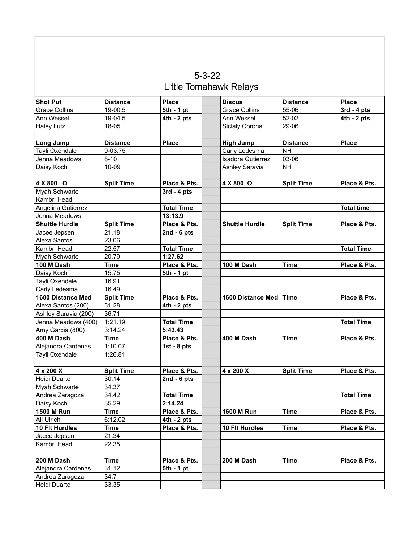| $5 - 3 - 22$           |  |
|------------------------|--|
| Little Tomahawk Relays |  |

| <b>Shot Put</b>                 | <b>Distance</b>   | <b>Place</b>      | <b>Discus</b>            | <b>Distance</b>   | <b>Place</b>      |
|---------------------------------|-------------------|-------------------|--------------------------|-------------------|-------------------|
| <b>Grace Collins</b>            | 19-00.5           | $5th - 1 pt$      | <b>Grace Collins</b>     | 55-06             | $3rd - 4pts$      |
| Ann Wessel                      | 19-04.5           | $4th - 2pts$      | Ann Wessel               | 52-02             | $4th - 2pts$      |
| <b>Haley Lutz</b>               | 18-05             |                   | Siclaly Corona           | 29-06             |                   |
|                                 |                   |                   |                          |                   |                   |
| Long Jump                       | <b>Distance</b>   | <b>Place</b>      | <b>High Jump</b>         | <b>Distance</b>   | <b>Place</b>      |
| Tayli Oxendale                  | 9-03.75           |                   | Carly Ledesma            | <b>NH</b>         |                   |
| Jenna Meadows                   | $8 - 10$          |                   | <b>Isadora Gutierrez</b> | 03-06             |                   |
| Daisy Koch                      | 10-09             |                   | Ashley Saravia           | <b>NH</b>         |                   |
|                                 |                   |                   |                          |                   |                   |
| 4 X 800 O                       | <b>Split Time</b> | Place & Pts.      | 4 X 800 O                | <b>Split Time</b> | Place & Pts.      |
| Myah Schwarte                   |                   | $3rd - 4pts$      |                          |                   |                   |
| Kambri Head                     |                   |                   |                          |                   |                   |
| Angelina Gutierrez              |                   | <b>Total Time</b> |                          |                   | <b>Total time</b> |
| Jenna Meadows                   |                   | 13:13.9           |                          |                   |                   |
| <b>Shuttle Hurdle</b>           | <b>Split Time</b> | Place & Pts.      | <b>Shuttle Hurdle</b>    | <b>Split Time</b> | Place & Pts.      |
| Jacee Jepsen                    | 21.18             | 2nd - $6$ pts     |                          |                   |                   |
| Alexa Santos                    | 23.06             |                   |                          |                   |                   |
| Kambri Head                     | 22.57             | <b>Total Time</b> |                          |                   | <b>Total Time</b> |
| Myah Schwarte                   | 20.79             | 1:27.62           |                          |                   |                   |
| 100 M Dash                      | <b>Time</b>       | Place & Pts.      | 100 M Dash               | <b>Time</b>       | Place & Pts.      |
| Daisy Koch                      | 15.75             | $5th - 1$ pt      |                          |                   |                   |
| Tayli Oxendale                  | 16.91             |                   |                          |                   |                   |
| Carly Ledesma                   | 16.49             |                   |                          |                   |                   |
| 1600 Distance Med               | <b>Split Time</b> | Place & Pts.      | 1600 Distance Med        | <b>Time</b>       | Place & Pts.      |
| Alexa Santos (200)              | 31.28             | $4th - 2pts$      |                          |                   |                   |
| Ashley Saravia (200)            | 36.71             |                   |                          |                   |                   |
|                                 |                   |                   |                          |                   | <b>Total Time</b> |
| Jenna Meadows (400)             | 1:21.19           | <b>Total Time</b> |                          |                   |                   |
| Amy Garcia (800)                | 3:14.24           | 5:43.43           |                          |                   |                   |
| 400 M Dash                      | <b>Time</b>       | Place & Pts.      | 400 M Dash               | <b>Time</b>       | Place & Pts.      |
| Alejandra Cardenas              | 1:10.07           | 1st - $8$ pts     |                          |                   |                   |
| Tayli Oxendale                  | 1:26.81           |                   |                          |                   |                   |
|                                 |                   |                   |                          |                   |                   |
| $4 \times 200 \text{ X}$        | <b>Split Time</b> | Place & Pts.      | 4 x 200 X                | <b>Split Time</b> | Place & Pts.      |
| Heidi Duarte                    | 30.14             | 2nd - $6$ pts     |                          |                   |                   |
| Myah Schwarte                   | 34.37             |                   |                          |                   |                   |
| Andrea Zaragoza                 | 34.42             | <b>Total Time</b> |                          |                   | <b>Total Time</b> |
| Daisy Koch                      | 35.29             | 2:14.24           |                          |                   |                   |
| 1500 M Run                      | Time              | Place & Pts.      | 1600 M Run               | Time              | Place & Pts.      |
| Ali Ulrich                      | 6:12.02           | $4th - 2pts$      |                          |                   |                   |
| 10 Flt Hurdles                  | Time              | Place & Pts.      | 10 Flt Hurdles           | <b>Time</b>       | Place & Pts.      |
| Jacee Jepsen                    | 21.34             |                   |                          |                   |                   |
| Kambri Head                     | 22.35             |                   |                          |                   |                   |
|                                 |                   |                   |                          |                   |                   |
| 200 M Dash                      | <b>Time</b>       | Place & Pts.      | 200 M Dash               | Time              | Place & Pts.      |
| Alejandra Cardenas              | 31.12             | 5th - 1 pt        |                          |                   |                   |
| Andrea Zaragoza<br>Heidi Duarte | 34.7<br>33.35     |                   |                          |                   |                   |